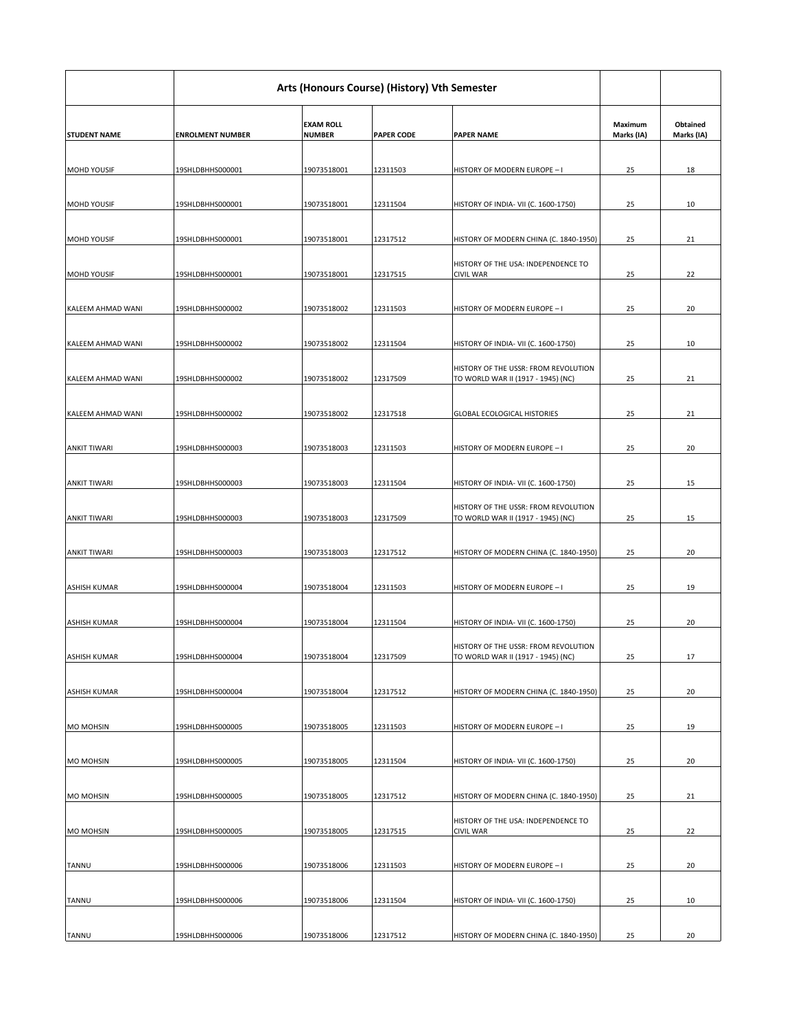|                          | Arts (Honours Course) (History) Vth Semester |                                   |                   |                                                                                   |                              |                               |
|--------------------------|----------------------------------------------|-----------------------------------|-------------------|-----------------------------------------------------------------------------------|------------------------------|-------------------------------|
| <b>STUDENT NAME</b>      | <b>ENROLMENT NUMBER</b>                      | <b>EXAM ROLL</b><br><b>NUMBER</b> | <b>PAPER CODE</b> | <b>PAPER NAME</b>                                                                 | <b>Maximum</b><br>Marks (IA) | <b>Obtained</b><br>Marks (IA) |
| <b>MOHD YOUSIF</b>       | 19SHLDBHHS000001                             | 19073518001                       | 12311503          | HISTORY OF MODERN EUROPE - I                                                      | 25                           | 18                            |
| <b>MOHD YOUSIF</b>       | 19SHLDBHHS000001                             | 19073518001                       | 12311504          | HISTORY OF INDIA- VII (C. 1600-1750)                                              | 25                           | 10                            |
| <b>MOHD YOUSIF</b>       | 19SHLDBHHS000001                             | 19073518001                       | 12317512          | HISTORY OF MODERN CHINA (C. 1840-1950)                                            | 25                           | 21                            |
| <b>MOHD YOUSIF</b>       | 19SHLDBHHS000001                             | 19073518001                       | 12317515          | HISTORY OF THE USA: INDEPENDENCE TO<br><b>CIVIL WAR</b>                           | 25                           | 22                            |
| <b>KALEEM AHMAD WANI</b> | 19SHLDBHHS000002                             | 19073518002                       | 12311503          | HISTORY OF MODERN EUROPE - I                                                      | 25                           | 20                            |
| KALEEM AHMAD WANI        | 19SHLDBHHS000002                             | 19073518002                       | 12311504          | HISTORY OF INDIA- VII (C. 1600-1750)                                              | 25                           | 10                            |
| <b>KALEEM AHMAD WANI</b> | 19SHLDBHHS000002                             | 19073518002                       | 12317509          | <b>HISTORY OF THE USSR: FROM REVOLUTION</b><br>TO WORLD WAR II (1917 - 1945) (NC) | 25                           | 21                            |
| KALEEM AHMAD WANI        | 19SHLDBHHS000002                             | 19073518002                       | 12317518          | <b>GLOBAL ECOLOGICAL HISTORIES</b>                                                | 25                           | 21                            |
| <b>ANKIT TIWARI</b>      | 19SHLDBHHS000003                             | 19073518003                       | 12311503          | HISTORY OF MODERN EUROPE - I                                                      | 25                           | 20                            |
| <b>ANKIT TIWARI</b>      | 19SHLDBHHS000003                             | 19073518003                       | 12311504          | HISTORY OF INDIA- VII (C. 1600-1750)                                              | 25                           | 15                            |
| <b>ANKIT TIWARI</b>      | 19SHLDBHHS000003                             | 19073518003                       | 12317509          | HISTORY OF THE USSR: FROM REVOLUTION<br>TO WORLD WAR II (1917 - 1945) (NC)        | 25                           | 15                            |
| <b>ANKIT TIWARI</b>      | 19SHLDBHHS000003                             | 19073518003                       | 12317512          | HISTORY OF MODERN CHINA (C. 1840-1950)                                            | 25                           | 20                            |
| <b>ASHISH KUMAR</b>      | 19SHLDBHHS000004                             | 19073518004                       | 12311503          | HISTORY OF MODERN EUROPE - I                                                      | 25                           | 19                            |
| <b>ASHISH KUMAR</b>      | 19SHLDBHHS000004                             | 19073518004                       | 12311504          | HISTORY OF INDIA- VII (C. 1600-1750)                                              | 25                           | 20                            |
| <b>ASHISH KUMAR</b>      | 19SHLDBHHS000004                             | 19073518004                       | 12317509          | HISTORY OF THE USSR: FROM REVOLUTION<br>TO WORLD WAR II (1917 - 1945) (NC)        | 25                           | 17                            |
| <b>ASHISH KUMAR</b>      | 19SHLDBHHS000004                             | 19073518004                       | 12317512          | HISTORY OF MODERN CHINA (C. 1840-1950)                                            | 25                           | 20                            |
| <b>MO MOHSIN</b>         | 19SHLDBHHS000005                             | 19073518005                       | 12311503          | HISTORY OF MODERN EUROPE - I                                                      | 25                           | 19                            |
| <b>MO MOHSIN</b>         | 19SHLDBHHS000005                             | 19073518005                       | 12311504          | HISTORY OF INDIA- VII (C. 1600-1750)                                              | 25                           | 20                            |
| <b>MO MOHSIN</b>         | 19SHLDBHHS000005                             | 19073518005                       | 12317512          | HISTORY OF MODERN CHINA (C. 1840-1950)                                            | 25                           | 21                            |
| <b>MO MOHSIN</b>         | 19SHLDBHHS000005                             | 19073518005                       | 12317515          | HISTORY OF THE USA: INDEPENDENCE TO<br><b>CIVIL WAR</b>                           | 25                           | 22                            |
| <b>TANNU</b>             | 19SHLDBHHS000006                             | 19073518006                       | 12311503          | HISTORY OF MODERN EUROPE - I                                                      | 25                           | 20                            |
| <b>TANNU</b>             | 19SHLDBHHS000006                             | 19073518006                       | 12311504          | HISTORY OF INDIA- VII (C. 1600-1750)                                              | 25                           | 10                            |
| <b>TANNU</b>             | 19SHLDBHHS000006                             | 19073518006                       | 12317512          | HISTORY OF MODERN CHINA (C. 1840-1950)                                            | 25                           | 20                            |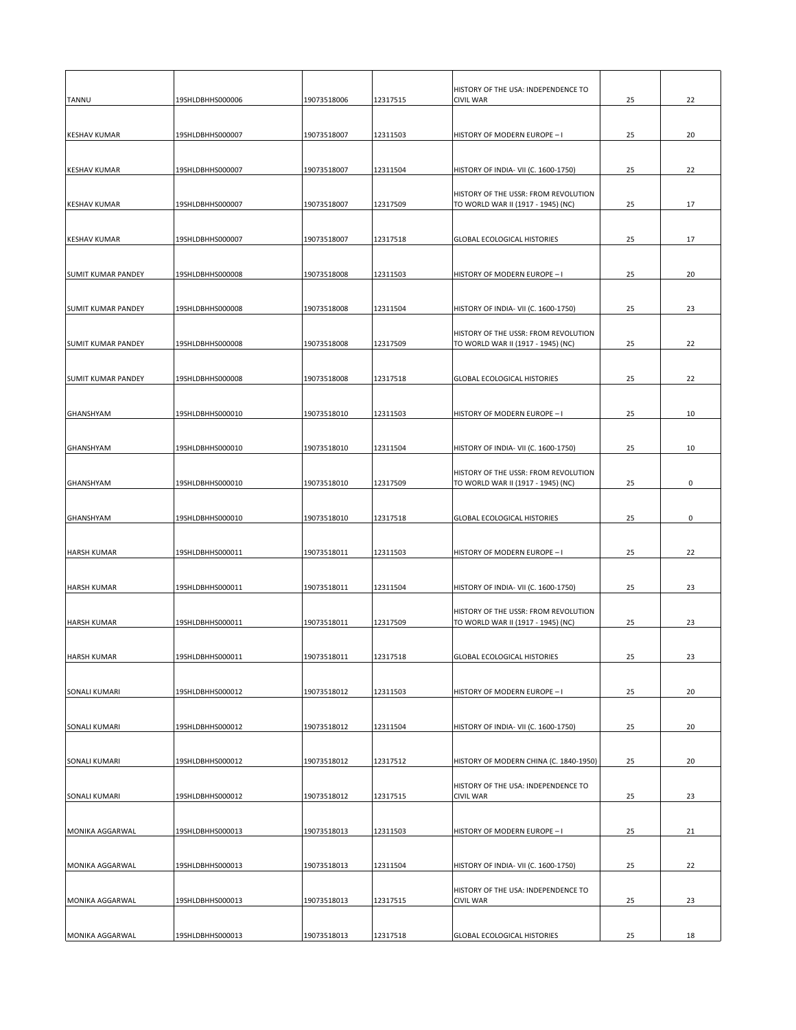| TANNU                     | 19SHLDBHHS000006 | 19073518006 | 12317515 | HISTORY OF THE USA: INDEPENDENCE TO<br><b>CIVIL WAR</b>                    | 25 | 22 |
|---------------------------|------------------|-------------|----------|----------------------------------------------------------------------------|----|----|
| <b>KESHAV KUMAR</b>       | 19SHLDBHHS000007 | 19073518007 | 12311503 | HISTORY OF MODERN EUROPE - I                                               | 25 | 20 |
|                           |                  |             |          |                                                                            |    |    |
| <b>KESHAV KUMAR</b>       | 19SHLDBHHS000007 | 19073518007 | 12311504 | HISTORY OF INDIA- VII (C. 1600-1750)                                       | 25 | 22 |
| <b>KESHAV KUMAR</b>       | 19SHLDBHHS000007 | 19073518007 | 12317509 | HISTORY OF THE USSR: FROM REVOLUTION<br>TO WORLD WAR II (1917 - 1945) (NC) | 25 | 17 |
| <b>KESHAV KUMAR</b>       | 19SHLDBHHS000007 | 19073518007 | 12317518 | <b>GLOBAL ECOLOGICAL HISTORIES</b>                                         | 25 | 17 |
| <b>SUMIT KUMAR PANDEY</b> | 19SHLDBHHS000008 | 19073518008 | 12311503 | HISTORY OF MODERN EUROPE - I                                               | 25 | 20 |
| <b>SUMIT KUMAR PANDEY</b> | 19SHLDBHHS000008 | 19073518008 | 12311504 | HISTORY OF INDIA- VII (C. 1600-1750)                                       | 25 | 23 |
| <b>SUMIT KUMAR PANDEY</b> | 19SHLDBHHS000008 | 19073518008 | 12317509 | HISTORY OF THE USSR: FROM REVOLUTION<br>TO WORLD WAR II (1917 - 1945) (NC) | 25 | 22 |
| <b>SUMIT KUMAR PANDEY</b> | 19SHLDBHHS000008 | 19073518008 | 12317518 | <b>GLOBAL ECOLOGICAL HISTORIES</b>                                         | 25 | 22 |
| <b>GHANSHYAM</b>          | 19SHLDBHHS000010 | 19073518010 | 12311503 | HISTORY OF MODERN EUROPE - I                                               | 25 | 10 |
| <b>GHANSHYAM</b>          | 19SHLDBHHS000010 | 19073518010 | 12311504 | HISTORY OF INDIA- VII (C. 1600-1750)                                       | 25 | 10 |
| <b>GHANSHYAM</b>          | 19SHLDBHHS000010 | 19073518010 | 12317509 | HISTORY OF THE USSR: FROM REVOLUTION<br>TO WORLD WAR II (1917 - 1945) (NC) | 25 | 0  |
| <b>GHANSHYAM</b>          | 19SHLDBHHS000010 | 19073518010 | 12317518 | <b>GLOBAL ECOLOGICAL HISTORIES</b>                                         | 25 | 0  |
| <b>HARSH KUMAR</b>        | 19SHLDBHHS000011 | 19073518011 | 12311503 | HISTORY OF MODERN EUROPE - I                                               | 25 | 22 |
| <b>HARSH KUMAR</b>        | 19SHLDBHHS000011 | 19073518011 | 12311504 | HISTORY OF INDIA- VII (C. 1600-1750)                                       | 25 | 23 |
| <b>HARSH KUMAR</b>        | 19SHLDBHHS000011 | 19073518011 | 12317509 | HISTORY OF THE USSR: FROM REVOLUTION<br>TO WORLD WAR II (1917 - 1945) (NC) | 25 | 23 |
| <b>HARSH KUMAR</b>        | 19SHLDBHHS000011 | 19073518011 | 12317518 | <b>GLOBAL ECOLOGICAL HISTORIES</b>                                         | 25 | 23 |
| <b>SONALI KUMARI</b>      | 19SHLDBHHS000012 | 19073518012 | 12311503 | HISTORY OF MODERN EUROPE - I                                               | 25 | 20 |
| <b>SONALI KUMARI</b>      | 19SHLDBHHS000012 | 19073518012 | 12311504 | HISTORY OF INDIA- VII (C. 1600-1750)                                       | 25 | 20 |
| <b>SONALI KUMARI</b>      | 19SHLDBHHS000012 | 19073518012 | 12317512 | HISTORY OF MODERN CHINA (C. 1840-1950)                                     | 25 | 20 |
| <b>SONALI KUMARI</b>      | 19SHLDBHHS000012 | 19073518012 | 12317515 | HISTORY OF THE USA: INDEPENDENCE TO<br><b>CIVIL WAR</b>                    | 25 | 23 |
| MONIKA AGGARWAL           | 19SHLDBHHS000013 | 19073518013 | 12311503 | HISTORY OF MODERN EUROPE - I                                               | 25 | 21 |
| MONIKA AGGARWAL           | 19SHLDBHHS000013 | 19073518013 | 12311504 | HISTORY OF INDIA- VII (C. 1600-1750)                                       | 25 | 22 |
| MONIKA AGGARWAL           | 19SHLDBHHS000013 | 19073518013 | 12317515 | HISTORY OF THE USA: INDEPENDENCE TO<br><b>CIVIL WAR</b>                    | 25 | 23 |
| MONIKA AGGARWAL           | 19SHLDBHHS000013 | 19073518013 | 12317518 | <b>GLOBAL ECOLOGICAL HISTORIES</b>                                         | 25 | 18 |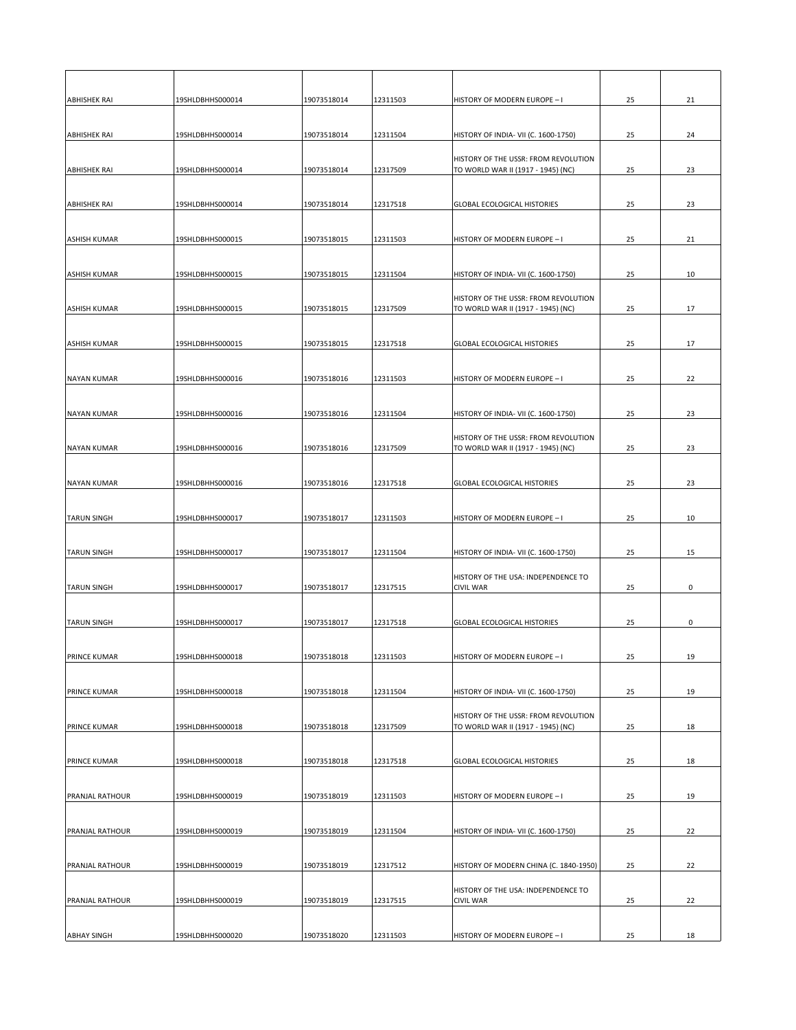| <b>ABHISHEK RAI</b>    | 19SHLDBHHS000014 | 19073518014 | 12311503 | HISTORY OF MODERN EUROPE - I                                               | 25 | 21 |
|------------------------|------------------|-------------|----------|----------------------------------------------------------------------------|----|----|
| <b>ABHISHEK RAI</b>    | 19SHLDBHHS000014 | 19073518014 | 12311504 | HISTORY OF INDIA- VII (C. 1600-1750)                                       | 25 | 24 |
| <b>ABHISHEK RAI</b>    | 19SHLDBHHS000014 | 19073518014 | 12317509 | HISTORY OF THE USSR: FROM REVOLUTION<br>TO WORLD WAR II (1917 - 1945) (NC) | 25 | 23 |
| <b>ABHISHEK RAI</b>    | 19SHLDBHHS000014 | 19073518014 | 12317518 | <b>GLOBAL ECOLOGICAL HISTORIES</b>                                         | 25 | 23 |
| <b>ASHISH KUMAR</b>    | 19SHLDBHHS000015 | 19073518015 | 12311503 | HISTORY OF MODERN EUROPE - I                                               | 25 | 21 |
| <b>ASHISH KUMAR</b>    | 19SHLDBHHS000015 | 19073518015 | 12311504 | HISTORY OF INDIA- VII (C. 1600-1750)                                       | 25 | 10 |
| <b>ASHISH KUMAR</b>    | 19SHLDBHHS000015 | 19073518015 | 12317509 | HISTORY OF THE USSR: FROM REVOLUTION<br>TO WORLD WAR II (1917 - 1945) (NC) | 25 | 17 |
| <b>ASHISH KUMAR</b>    | 19SHLDBHHS000015 | 19073518015 | 12317518 | <b>GLOBAL ECOLOGICAL HISTORIES</b>                                         | 25 | 17 |
| <b>NAYAN KUMAR</b>     | 19SHLDBHHS000016 | 19073518016 | 12311503 | HISTORY OF MODERN EUROPE - I                                               | 25 | 22 |
| <b>NAYAN KUMAR</b>     | 19SHLDBHHS000016 | 19073518016 | 12311504 | HISTORY OF INDIA- VII (C. 1600-1750)                                       | 25 | 23 |
| <b>NAYAN KUMAR</b>     | 19SHLDBHHS000016 | 19073518016 | 12317509 | HISTORY OF THE USSR: FROM REVOLUTION<br>TO WORLD WAR II (1917 - 1945) (NC) | 25 | 23 |
| <b>NAYAN KUMAR</b>     | 19SHLDBHHS000016 | 19073518016 | 12317518 | <b>GLOBAL ECOLOGICAL HISTORIES</b>                                         | 25 | 23 |
| <b>TARUN SINGH</b>     | 19SHLDBHHS000017 | 19073518017 | 12311503 | HISTORY OF MODERN EUROPE - I                                               | 25 | 10 |
| <b>TARUN SINGH</b>     | 19SHLDBHHS000017 | 19073518017 | 12311504 | HISTORY OF INDIA- VII (C. 1600-1750)                                       | 25 | 15 |
| <b>TARUN SINGH</b>     | 19SHLDBHHS000017 | 19073518017 | 12317515 | HISTORY OF THE USA: INDEPENDENCE TO<br><b>CIVIL WAR</b>                    | 25 | 0  |
| <b>TARUN SINGH</b>     | 19SHLDBHHS000017 | 19073518017 | 12317518 | <b>GLOBAL ECOLOGICAL HISTORIES</b>                                         | 25 | 0  |
| <b>PRINCE KUMAR</b>    | 19SHLDBHHS000018 | 19073518018 | 12311503 | HISTORY OF MODERN EUROPE - I                                               | 25 | 19 |
| <b>PRINCE KUMAR</b>    | 19SHLDBHHS000018 | 19073518018 | 12311504 | HISTORY OF INDIA- VII (C. 1600-1750)                                       | 25 | 19 |
| PRINCE KUMAR           | 19SHLDBHHS000018 | 19073518018 | 12317509 | HISTORY OF THE USSR: FROM REVOLUTION<br>TO WORLD WAR II (1917 - 1945) (NC) | 25 | 18 |
| <b>PRINCE KUMAR</b>    | 19SHLDBHHS000018 | 19073518018 | 12317518 | <b>GLOBAL ECOLOGICAL HISTORIES</b>                                         | 25 | 18 |
| <b>PRANJAL RATHOUR</b> | 19SHLDBHHS000019 | 19073518019 | 12311503 | HISTORY OF MODERN EUROPE - I                                               | 25 | 19 |
| <b>PRANJAL RATHOUR</b> | 19SHLDBHHS000019 | 19073518019 | 12311504 | HISTORY OF INDIA- VII (C. 1600-1750)                                       | 25 | 22 |
| <b>PRANJAL RATHOUR</b> | 19SHLDBHHS000019 | 19073518019 | 12317512 | HISTORY OF MODERN CHINA (C. 1840-1950)                                     | 25 | 22 |
| <b>PRANJAL RATHOUR</b> | 19SHLDBHHS000019 | 19073518019 | 12317515 | HISTORY OF THE USA: INDEPENDENCE TO<br><b>CIVIL WAR</b>                    | 25 | 22 |
| <b>ABHAY SINGH</b>     | 19SHLDBHHS000020 | 19073518020 | 12311503 | HISTORY OF MODERN EUROPE - I                                               | 25 | 18 |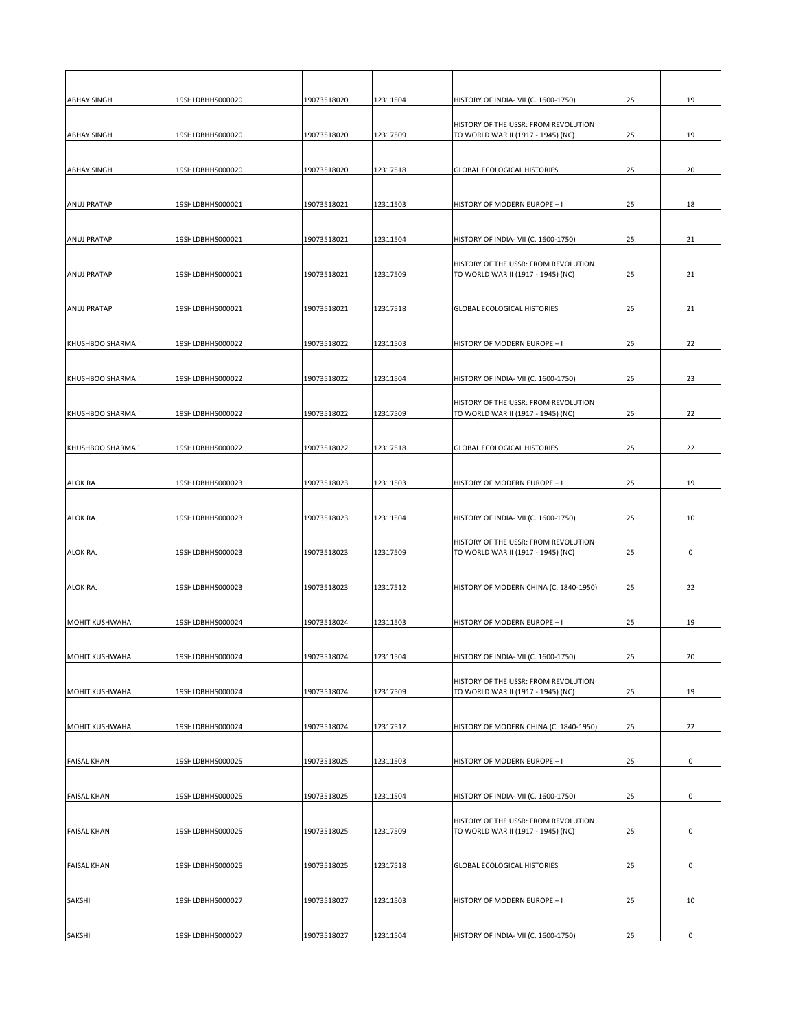| <b>ABHAY SINGH</b>    | 19SHLDBHHS000020 | 19073518020 | 12311504 | HISTORY OF INDIA- VII (C. 1600-1750)                                              | 25 | 19          |
|-----------------------|------------------|-------------|----------|-----------------------------------------------------------------------------------|----|-------------|
|                       |                  |             |          | HISTORY OF THE USSR: FROM REVOLUTION                                              |    |             |
| <b>ABHAY SINGH</b>    | 19SHLDBHHS000020 | 19073518020 | 12317509 | TO WORLD WAR II (1917 - 1945) (NC)                                                | 25 | 19          |
| <b>ABHAY SINGH</b>    | 19SHLDBHHS000020 | 19073518020 | 12317518 | <b>GLOBAL ECOLOGICAL HISTORIES</b>                                                | 25 | 20          |
|                       |                  |             |          |                                                                                   |    |             |
| <b>ANUJ PRATAP</b>    | 19SHLDBHHS000021 | 19073518021 | 12311503 | HISTORY OF MODERN EUROPE - I                                                      | 25 | 18          |
|                       |                  |             |          |                                                                                   |    |             |
| <b>ANUJ PRATAP</b>    | 19SHLDBHHS000021 | 19073518021 | 12311504 | HISTORY OF INDIA- VII (C. 1600-1750)                                              | 25 | 21          |
| <b>ANUJ PRATAP</b>    | 19SHLDBHHS000021 | 19073518021 | 12317509 | <b>HISTORY OF THE USSR: FROM REVOLUTION</b><br>TO WORLD WAR II (1917 - 1945) (NC) | 25 | 21          |
|                       |                  |             |          |                                                                                   |    |             |
| <b>ANUJ PRATAP</b>    | 19SHLDBHHS000021 | 19073518021 | 12317518 | <b>GLOBAL ECOLOGICAL HISTORIES</b>                                                | 25 | 21          |
| KHUSHBOO SHARMA       | 19SHLDBHHS000022 | 19073518022 | 12311503 | HISTORY OF MODERN EUROPE - I                                                      | 25 | 22          |
|                       |                  |             |          |                                                                                   |    |             |
| KHUSHBOO SHARMA       | 19SHLDBHHS000022 | 19073518022 | 12311504 | HISTORY OF INDIA- VII (C. 1600-1750)                                              | 25 | 23          |
| KHUSHBOO SHARMA       | 19SHLDBHHS000022 | 19073518022 | 12317509 | <b>HISTORY OF THE USSR: FROM REVOLUTION</b><br>TO WORLD WAR II (1917 - 1945) (NC) | 25 | 22          |
|                       |                  |             |          |                                                                                   |    |             |
| KHUSHBOO SHARMA`      | 19SHLDBHHS000022 | 19073518022 | 12317518 | <b>GLOBAL ECOLOGICAL HISTORIES</b>                                                | 25 | 22          |
| <b>ALOK RAJ</b>       | 19SHLDBHHS000023 | 19073518023 | 12311503 | HISTORY OF MODERN EUROPE - I                                                      | 25 | 19          |
|                       |                  |             |          |                                                                                   |    |             |
| <b>ALOK RAJ</b>       | 19SHLDBHHS000023 | 19073518023 | 12311504 | HISTORY OF INDIA- VII (C. 1600-1750)                                              | 25 | 10          |
|                       |                  |             |          | HISTORY OF THE USSR: FROM REVOLUTION                                              |    |             |
| <b>ALOK RAJ</b>       | 19SHLDBHHS000023 | 19073518023 | 12317509 | TO WORLD WAR II (1917 - 1945) (NC)                                                | 25 | 0           |
| <b>ALOK RAJ</b>       | 19SHLDBHHS000023 | 19073518023 | 12317512 | HISTORY OF MODERN CHINA (C. 1840-1950)                                            | 25 | 22          |
|                       |                  |             |          |                                                                                   |    |             |
| <b>MOHIT KUSHWAHA</b> | 19SHLDBHHS000024 | 19073518024 | 12311503 | HISTORY OF MODERN EUROPE - I                                                      | 25 | 19          |
| MOHIT KUSHWAHA        | 19SHLDBHHS000024 | 19073518024 | 12311504 | HISTORY OF INDIA- VII (C. 1600-1750)                                              | 25 | 20          |
|                       |                  |             |          | HISTORY OF THE USSR: FROM REVOLUTION                                              |    |             |
| MOHIT KUSHWAHA        | 19SHLDBHHS000024 | 19073518024 | 12317509 | TO WORLD WAR II (1917 - 1945) (NC)                                                | 25 | 19          |
| MOHIT KUSHWAHA        | 19SHLDBHHS000024 | 19073518024 | 12317512 | HISTORY OF MODERN CHINA (C. 1840-1950)                                            | 25 | 22          |
|                       |                  |             |          |                                                                                   |    |             |
| <b>FAISAL KHAN</b>    | 19SHLDBHHS000025 | 19073518025 | 12311503 | HISTORY OF MODERN EUROPE - I                                                      | 25 | 0           |
| <b>FAISAL KHAN</b>    | 19SHLDBHHS000025 | 19073518025 | 12311504 | HISTORY OF INDIA- VII (C. 1600-1750)                                              | 25 | 0           |
|                       |                  |             |          |                                                                                   |    |             |
| <b>FAISAL KHAN</b>    | 19SHLDBHHS000025 | 19073518025 | 12317509 | HISTORY OF THE USSR: FROM REVOLUTION<br>TO WORLD WAR II (1917 - 1945) (NC)        | 25 | 0           |
| <b>FAISAL KHAN</b>    | 19SHLDBHHS000025 | 19073518025 | 12317518 | <b>GLOBAL ECOLOGICAL HISTORIES</b>                                                | 25 | 0           |
|                       |                  |             |          |                                                                                   |    |             |
| <b>SAKSHI</b>         | 19SHLDBHHS000027 | 19073518027 | 12311503 | HISTORY OF MODERN EUROPE - I                                                      | 25 | 10          |
| <b>SAKSHI</b>         | 19SHLDBHHS000027 | 19073518027 | 12311504 | HISTORY OF INDIA- VII (C. 1600-1750)                                              | 25 | $\mathbf 0$ |
|                       |                  |             |          |                                                                                   |    |             |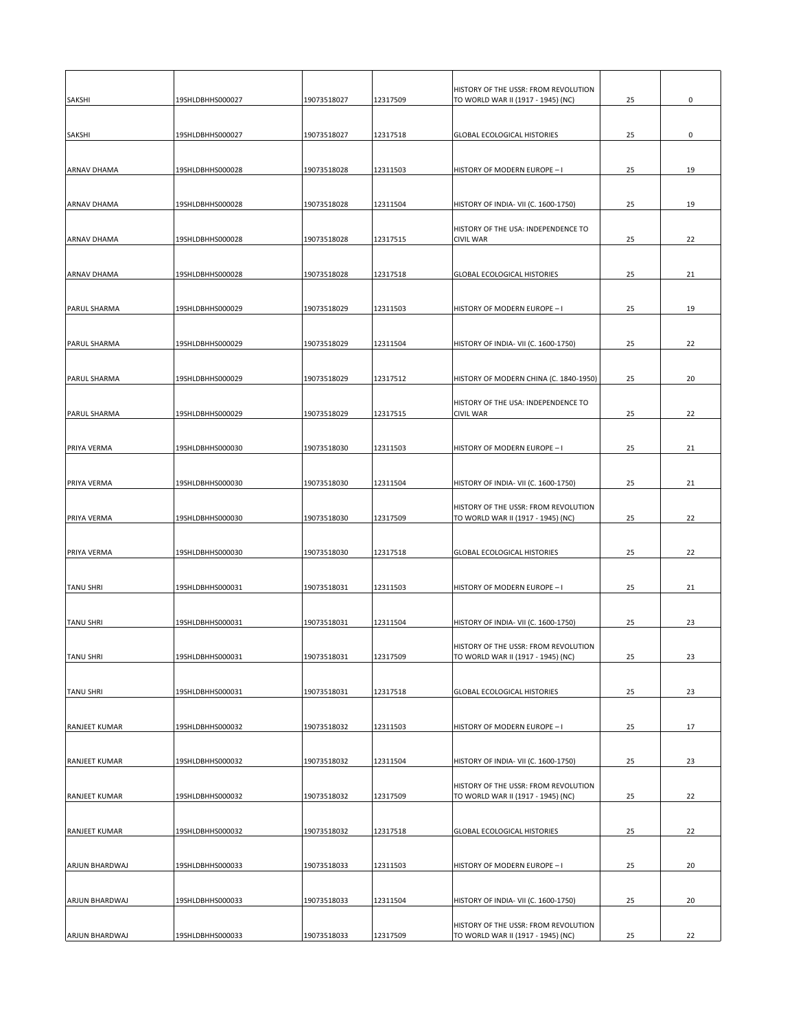|                       |                  |             |          | HISTORY OF THE USSR: FROM REVOLUTION                                       |    |    |
|-----------------------|------------------|-------------|----------|----------------------------------------------------------------------------|----|----|
| <b>SAKSHI</b>         | 19SHLDBHHS000027 | 19073518027 | 12317509 | TO WORLD WAR II (1917 - 1945) (NC)                                         | 25 | 0  |
| <b>SAKSHI</b>         | 19SHLDBHHS000027 | 19073518027 | 12317518 | <b>GLOBAL ECOLOGICAL HISTORIES</b>                                         | 25 | 0  |
|                       |                  |             |          |                                                                            |    |    |
| <b>ARNAV DHAMA</b>    | 19SHLDBHHS000028 | 19073518028 | 12311503 | HISTORY OF MODERN EUROPE - I                                               | 25 | 19 |
|                       |                  |             |          |                                                                            |    |    |
| <b>ARNAV DHAMA</b>    | 19SHLDBHHS000028 | 19073518028 | 12311504 | HISTORY OF INDIA- VII (C. 1600-1750)                                       | 25 | 19 |
|                       |                  |             |          | HISTORY OF THE USA: INDEPENDENCE TO                                        |    |    |
| <b>ARNAV DHAMA</b>    | 19SHLDBHHS000028 | 19073518028 | 12317515 | <b>CIVIL WAR</b>                                                           | 25 | 22 |
| <b>ARNAV DHAMA</b>    | 19SHLDBHHS000028 | 19073518028 | 12317518 | <b>GLOBAL ECOLOGICAL HISTORIES</b>                                         | 25 | 21 |
|                       |                  |             |          |                                                                            |    |    |
| <b>PARUL SHARMA</b>   | 19SHLDBHHS000029 | 19073518029 | 12311503 | HISTORY OF MODERN EUROPE - I                                               | 25 | 19 |
|                       |                  |             |          |                                                                            |    |    |
| <b>PARUL SHARMA</b>   | 19SHLDBHHS000029 | 19073518029 | 12311504 | HISTORY OF INDIA- VII (C. 1600-1750)                                       | 25 | 22 |
|                       |                  |             |          |                                                                            |    |    |
| <b>PARUL SHARMA</b>   | 19SHLDBHHS000029 | 19073518029 | 12317512 | HISTORY OF MODERN CHINA (C. 1840-1950)                                     | 25 | 20 |
| <b>PARUL SHARMA</b>   | 19SHLDBHHS000029 | 19073518029 | 12317515 | HISTORY OF THE USA: INDEPENDENCE TO<br><b>CIVIL WAR</b>                    | 25 | 22 |
|                       |                  |             |          |                                                                            |    |    |
| <b>PRIYA VERMA</b>    | 19SHLDBHHS000030 | 19073518030 | 12311503 | HISTORY OF MODERN EUROPE - I                                               | 25 | 21 |
|                       |                  |             |          |                                                                            |    |    |
| <b>PRIYA VERMA</b>    | 19SHLDBHHS000030 | 19073518030 | 12311504 | HISTORY OF INDIA- VII (C. 1600-1750)                                       | 25 | 21 |
|                       |                  |             |          | HISTORY OF THE USSR: FROM REVOLUTION                                       |    |    |
| <b>PRIYA VERMA</b>    | 19SHLDBHHS000030 | 19073518030 | 12317509 | TO WORLD WAR II (1917 - 1945) (NC)                                         | 25 | 22 |
| <b>PRIYA VERMA</b>    | 19SHLDBHHS000030 | 19073518030 | 12317518 | <b>GLOBAL ECOLOGICAL HISTORIES</b>                                         | 25 | 22 |
|                       |                  |             |          |                                                                            |    |    |
| <b>TANU SHRI</b>      | 19SHLDBHHS000031 | 19073518031 | 12311503 | HISTORY OF MODERN EUROPE - I                                               | 25 | 21 |
|                       |                  |             |          |                                                                            |    |    |
| <b>TANU SHRI</b>      | 19SHLDBHHS000031 | 19073518031 | 12311504 | HISTORY OF INDIA- VII (C. 1600-1750)                                       | 25 | 23 |
| <b>TANU SHRI</b>      | 19SHLDBHHS000031 | 19073518031 | 12317509 | HISTORY OF THE USSR: FROM REVOLUTION<br>TO WORLD WAR II (1917 - 1945) (NC) | 25 | 23 |
|                       |                  |             |          |                                                                            |    |    |
| <b>TANU SHRI</b>      | 19SHLDBHHS000031 | 19073518031 | 12317518 | <b>GLOBAL ECOLOGICAL HISTORIES</b>                                         | 25 | 23 |
|                       |                  |             |          |                                                                            |    |    |
| <b>RANJEET KUMAR</b>  | 19SHLDBHHS000032 | 19073518032 | 12311503 | HISTORY OF MODERN EUROPE - I                                               | 25 | 17 |
|                       |                  |             |          |                                                                            |    |    |
| <b>RANJEET KUMAR</b>  | 19SHLDBHHS000032 | 19073518032 | 12311504 | HISTORY OF INDIA- VII (C. 1600-1750)                                       | 25 | 23 |
| <b>RANJEET KUMAR</b>  | 19SHLDBHHS000032 | 19073518032 | 12317509 | HISTORY OF THE USSR: FROM REVOLUTION<br>TO WORLD WAR II (1917 - 1945) (NC) | 25 | 22 |
|                       |                  |             |          |                                                                            |    |    |
| <b>RANJEET KUMAR</b>  | 19SHLDBHHS000032 | 19073518032 | 12317518 | <b>GLOBAL ECOLOGICAL HISTORIES</b>                                         | 25 | 22 |
|                       |                  |             |          |                                                                            |    |    |
| <b>ARJUN BHARDWAJ</b> | 19SHLDBHHS000033 | 19073518033 | 12311503 | HISTORY OF MODERN EUROPE - I                                               | 25 | 20 |
| ARJUN BHARDWAJ        | 19SHLDBHHS000033 | 19073518033 | 12311504 | HISTORY OF INDIA- VII (C. 1600-1750)                                       | 25 | 20 |
|                       |                  |             |          |                                                                            |    |    |
| <b>ARJUN BHARDWAJ</b> | 19SHLDBHHS000033 | 19073518033 | 12317509 | HISTORY OF THE USSR: FROM REVOLUTION<br>TO WORLD WAR II (1917 - 1945) (NC) | 25 | 22 |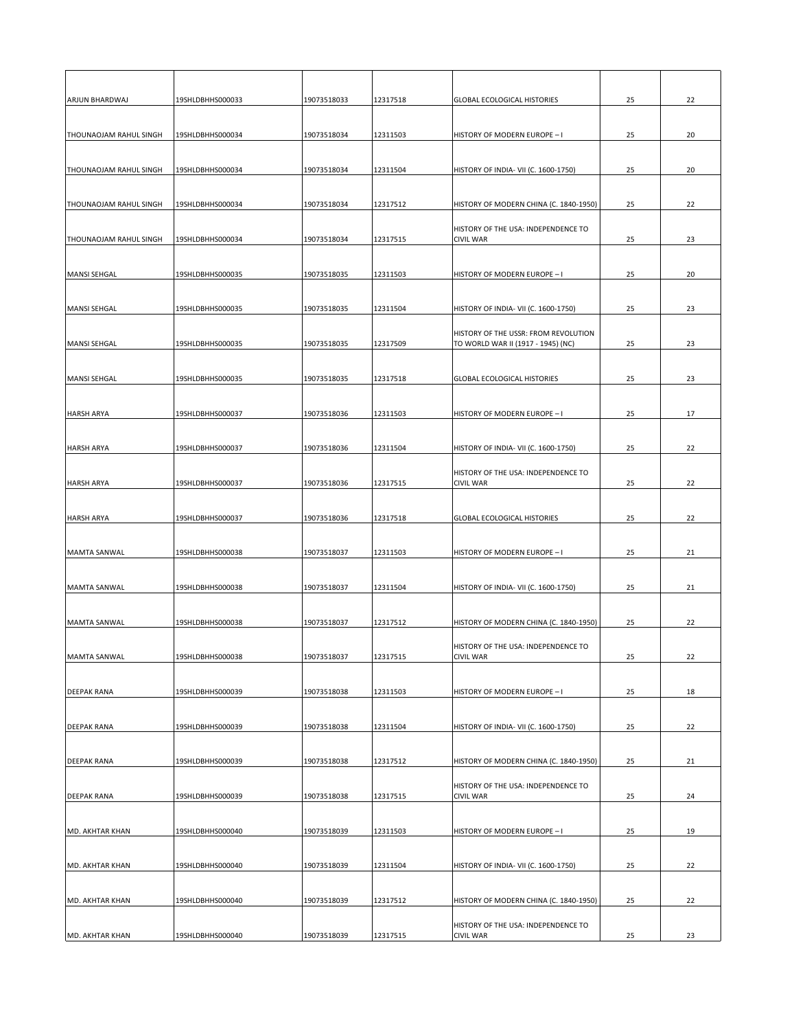| 19073518033<br><b>ARJUN BHARDWAJ</b><br>19SHLDBHHS000033<br>12317518<br><b>GLOBAL ECOLOGICAL HISTORIES</b><br>19073518034<br>12311503<br>HISTORY OF MODERN EUROPE - I<br><b>THOUNAOJAM RAHUL SINGH</b><br>19SHLDBHHS000034<br>19073518034<br><b>THOUNAOJAM RAHUL SINGH</b><br>19SHLDBHHS000034<br>12311504<br>HISTORY OF INDIA- VII (C. 1600-1750)<br><b>THOUNAOJAM RAHUL SINGH</b><br>19073518034<br>12317512<br>HISTORY OF MODERN CHINA (C. 1840-1950)<br>19SHLDBHHS000034<br>HISTORY OF THE USA: INDEPENDENCE TO<br>12317515<br><b>CIVIL WAR</b><br><b>THOUNAOJAM RAHUL SINGH</b><br>19SHLDBHHS000034<br>19073518034<br>12311503<br>MANSI SEHGAL<br>19SHLDBHHS000035<br>19073518035<br>HISTORY OF MODERN EUROPE - I<br>12311504<br>MANSI SEHGAL<br>19SHLDBHHS000035<br>19073518035<br>HISTORY OF INDIA- VII (C. 1600-1750)<br>HISTORY OF THE USSR: FROM REVOLUTION<br>12317509<br>MANSI SEHGAL<br>19SHLDBHHS000035<br>19073518035<br>TO WORLD WAR II (1917 - 1945) (NC)<br>MANSI SEHGAL<br>19SHLDBHHS000035<br>19073518035<br>12317518<br><b>GLOBAL ECOLOGICAL HISTORIES</b><br><b>HARSH ARYA</b><br>19SHLDBHHS000037<br>19073518036<br>12311503<br>HISTORY OF MODERN EUROPE - I<br>19073518036<br>HISTORY OF INDIA- VII (C. 1600-1750)<br><b>HARSH ARYA</b><br>19SHLDBHHS000037<br>12311504<br>HISTORY OF THE USA: INDEPENDENCE TO<br><b>CIVIL WAR</b><br><b>HARSH ARYA</b><br>19SHLDBHHS000037<br>19073518036<br>12317515<br>19SHLDBHHS000037<br>19073518036<br>12317518<br><b>GLOBAL ECOLOGICAL HISTORIES</b><br><b>HARSH ARYA</b><br>12311503<br>MAMTA SANWAL<br>19SHLDBHHS000038<br>19073518037<br>HISTORY OF MODERN EUROPE - I<br>19SHLDBHHS000038<br>19073518037<br>12311504<br>HISTORY OF INDIA- VII (C. 1600-1750)<br>MAMTA SANWAL<br>12317512<br>19SHLDBHHS000038<br>19073518037<br>HISTORY OF MODERN CHINA (C. 1840-1950)<br>MAMTA SANWAL<br>HISTORY OF THE USA: INDEPENDENCE TO<br><b>CIVIL WAR</b><br>12317515<br>MAMTA SANWAL<br>19SHLDBHHS000038<br>19073518037<br>12311503<br><b>DEEPAK RANA</b><br>19SHLDBHHS000039<br>19073518038<br>HISTORY OF MODERN EUROPE - I<br>19073518038<br>12311504<br>HISTORY OF INDIA- VII (C. 1600-1750)<br>19SHLDBHHS000039<br><b>DEEPAK RANA</b><br>12317512<br>HISTORY OF MODERN CHINA (C. 1840-1950)<br><b>DEEPAK RANA</b><br>19SHLDBHHS000039<br>19073518038<br>HISTORY OF THE USA: INDEPENDENCE TO<br>12317515<br><b>DEEPAK RANA</b><br>19SHLDBHHS000039<br>19073518038<br><b>CIVIL WAR</b><br>12311503<br>MD. AKHTAR KHAN<br>19SHLDBHHS000040<br>19073518039<br>HISTORY OF MODERN EUROPE - I |                  |             |          |                                                         |    |    |
|------------------------------------------------------------------------------------------------------------------------------------------------------------------------------------------------------------------------------------------------------------------------------------------------------------------------------------------------------------------------------------------------------------------------------------------------------------------------------------------------------------------------------------------------------------------------------------------------------------------------------------------------------------------------------------------------------------------------------------------------------------------------------------------------------------------------------------------------------------------------------------------------------------------------------------------------------------------------------------------------------------------------------------------------------------------------------------------------------------------------------------------------------------------------------------------------------------------------------------------------------------------------------------------------------------------------------------------------------------------------------------------------------------------------------------------------------------------------------------------------------------------------------------------------------------------------------------------------------------------------------------------------------------------------------------------------------------------------------------------------------------------------------------------------------------------------------------------------------------------------------------------------------------------------------------------------------------------------------------------------------------------------------------------------------------------------------------------------------------------------------------------------------------------------------------------------------------------------------------------------------------------------------------------------------------------------------------------------------------------------------------------------------------------------------------------------------------------------------------------------------------------------------------------------------|------------------|-------------|----------|---------------------------------------------------------|----|----|
|                                                                                                                                                                                                                                                                                                                                                                                                                                                                                                                                                                                                                                                                                                                                                                                                                                                                                                                                                                                                                                                                                                                                                                                                                                                                                                                                                                                                                                                                                                                                                                                                                                                                                                                                                                                                                                                                                                                                                                                                                                                                                                                                                                                                                                                                                                                                                                                                                                                                                                                                                      |                  |             |          |                                                         | 25 | 22 |
|                                                                                                                                                                                                                                                                                                                                                                                                                                                                                                                                                                                                                                                                                                                                                                                                                                                                                                                                                                                                                                                                                                                                                                                                                                                                                                                                                                                                                                                                                                                                                                                                                                                                                                                                                                                                                                                                                                                                                                                                                                                                                                                                                                                                                                                                                                                                                                                                                                                                                                                                                      |                  |             |          |                                                         | 25 | 20 |
|                                                                                                                                                                                                                                                                                                                                                                                                                                                                                                                                                                                                                                                                                                                                                                                                                                                                                                                                                                                                                                                                                                                                                                                                                                                                                                                                                                                                                                                                                                                                                                                                                                                                                                                                                                                                                                                                                                                                                                                                                                                                                                                                                                                                                                                                                                                                                                                                                                                                                                                                                      |                  |             |          |                                                         |    |    |
|                                                                                                                                                                                                                                                                                                                                                                                                                                                                                                                                                                                                                                                                                                                                                                                                                                                                                                                                                                                                                                                                                                                                                                                                                                                                                                                                                                                                                                                                                                                                                                                                                                                                                                                                                                                                                                                                                                                                                                                                                                                                                                                                                                                                                                                                                                                                                                                                                                                                                                                                                      |                  |             |          |                                                         | 25 | 20 |
|                                                                                                                                                                                                                                                                                                                                                                                                                                                                                                                                                                                                                                                                                                                                                                                                                                                                                                                                                                                                                                                                                                                                                                                                                                                                                                                                                                                                                                                                                                                                                                                                                                                                                                                                                                                                                                                                                                                                                                                                                                                                                                                                                                                                                                                                                                                                                                                                                                                                                                                                                      |                  |             |          |                                                         | 25 | 22 |
|                                                                                                                                                                                                                                                                                                                                                                                                                                                                                                                                                                                                                                                                                                                                                                                                                                                                                                                                                                                                                                                                                                                                                                                                                                                                                                                                                                                                                                                                                                                                                                                                                                                                                                                                                                                                                                                                                                                                                                                                                                                                                                                                                                                                                                                                                                                                                                                                                                                                                                                                                      |                  |             |          |                                                         |    |    |
|                                                                                                                                                                                                                                                                                                                                                                                                                                                                                                                                                                                                                                                                                                                                                                                                                                                                                                                                                                                                                                                                                                                                                                                                                                                                                                                                                                                                                                                                                                                                                                                                                                                                                                                                                                                                                                                                                                                                                                                                                                                                                                                                                                                                                                                                                                                                                                                                                                                                                                                                                      |                  |             |          |                                                         | 25 | 23 |
|                                                                                                                                                                                                                                                                                                                                                                                                                                                                                                                                                                                                                                                                                                                                                                                                                                                                                                                                                                                                                                                                                                                                                                                                                                                                                                                                                                                                                                                                                                                                                                                                                                                                                                                                                                                                                                                                                                                                                                                                                                                                                                                                                                                                                                                                                                                                                                                                                                                                                                                                                      |                  |             |          |                                                         |    |    |
|                                                                                                                                                                                                                                                                                                                                                                                                                                                                                                                                                                                                                                                                                                                                                                                                                                                                                                                                                                                                                                                                                                                                                                                                                                                                                                                                                                                                                                                                                                                                                                                                                                                                                                                                                                                                                                                                                                                                                                                                                                                                                                                                                                                                                                                                                                                                                                                                                                                                                                                                                      |                  |             |          |                                                         | 25 | 20 |
|                                                                                                                                                                                                                                                                                                                                                                                                                                                                                                                                                                                                                                                                                                                                                                                                                                                                                                                                                                                                                                                                                                                                                                                                                                                                                                                                                                                                                                                                                                                                                                                                                                                                                                                                                                                                                                                                                                                                                                                                                                                                                                                                                                                                                                                                                                                                                                                                                                                                                                                                                      |                  |             |          |                                                         | 25 | 23 |
|                                                                                                                                                                                                                                                                                                                                                                                                                                                                                                                                                                                                                                                                                                                                                                                                                                                                                                                                                                                                                                                                                                                                                                                                                                                                                                                                                                                                                                                                                                                                                                                                                                                                                                                                                                                                                                                                                                                                                                                                                                                                                                                                                                                                                                                                                                                                                                                                                                                                                                                                                      |                  |             |          |                                                         |    |    |
|                                                                                                                                                                                                                                                                                                                                                                                                                                                                                                                                                                                                                                                                                                                                                                                                                                                                                                                                                                                                                                                                                                                                                                                                                                                                                                                                                                                                                                                                                                                                                                                                                                                                                                                                                                                                                                                                                                                                                                                                                                                                                                                                                                                                                                                                                                                                                                                                                                                                                                                                                      |                  |             |          |                                                         | 25 | 23 |
|                                                                                                                                                                                                                                                                                                                                                                                                                                                                                                                                                                                                                                                                                                                                                                                                                                                                                                                                                                                                                                                                                                                                                                                                                                                                                                                                                                                                                                                                                                                                                                                                                                                                                                                                                                                                                                                                                                                                                                                                                                                                                                                                                                                                                                                                                                                                                                                                                                                                                                                                                      |                  |             |          |                                                         |    |    |
|                                                                                                                                                                                                                                                                                                                                                                                                                                                                                                                                                                                                                                                                                                                                                                                                                                                                                                                                                                                                                                                                                                                                                                                                                                                                                                                                                                                                                                                                                                                                                                                                                                                                                                                                                                                                                                                                                                                                                                                                                                                                                                                                                                                                                                                                                                                                                                                                                                                                                                                                                      |                  |             |          |                                                         | 25 | 23 |
|                                                                                                                                                                                                                                                                                                                                                                                                                                                                                                                                                                                                                                                                                                                                                                                                                                                                                                                                                                                                                                                                                                                                                                                                                                                                                                                                                                                                                                                                                                                                                                                                                                                                                                                                                                                                                                                                                                                                                                                                                                                                                                                                                                                                                                                                                                                                                                                                                                                                                                                                                      |                  |             |          |                                                         | 25 | 17 |
|                                                                                                                                                                                                                                                                                                                                                                                                                                                                                                                                                                                                                                                                                                                                                                                                                                                                                                                                                                                                                                                                                                                                                                                                                                                                                                                                                                                                                                                                                                                                                                                                                                                                                                                                                                                                                                                                                                                                                                                                                                                                                                                                                                                                                                                                                                                                                                                                                                                                                                                                                      |                  |             |          |                                                         |    |    |
|                                                                                                                                                                                                                                                                                                                                                                                                                                                                                                                                                                                                                                                                                                                                                                                                                                                                                                                                                                                                                                                                                                                                                                                                                                                                                                                                                                                                                                                                                                                                                                                                                                                                                                                                                                                                                                                                                                                                                                                                                                                                                                                                                                                                                                                                                                                                                                                                                                                                                                                                                      |                  |             |          |                                                         | 25 | 22 |
|                                                                                                                                                                                                                                                                                                                                                                                                                                                                                                                                                                                                                                                                                                                                                                                                                                                                                                                                                                                                                                                                                                                                                                                                                                                                                                                                                                                                                                                                                                                                                                                                                                                                                                                                                                                                                                                                                                                                                                                                                                                                                                                                                                                                                                                                                                                                                                                                                                                                                                                                                      |                  |             |          |                                                         |    |    |
|                                                                                                                                                                                                                                                                                                                                                                                                                                                                                                                                                                                                                                                                                                                                                                                                                                                                                                                                                                                                                                                                                                                                                                                                                                                                                                                                                                                                                                                                                                                                                                                                                                                                                                                                                                                                                                                                                                                                                                                                                                                                                                                                                                                                                                                                                                                                                                                                                                                                                                                                                      |                  |             |          |                                                         | 25 | 22 |
|                                                                                                                                                                                                                                                                                                                                                                                                                                                                                                                                                                                                                                                                                                                                                                                                                                                                                                                                                                                                                                                                                                                                                                                                                                                                                                                                                                                                                                                                                                                                                                                                                                                                                                                                                                                                                                                                                                                                                                                                                                                                                                                                                                                                                                                                                                                                                                                                                                                                                                                                                      |                  |             |          |                                                         | 25 | 22 |
|                                                                                                                                                                                                                                                                                                                                                                                                                                                                                                                                                                                                                                                                                                                                                                                                                                                                                                                                                                                                                                                                                                                                                                                                                                                                                                                                                                                                                                                                                                                                                                                                                                                                                                                                                                                                                                                                                                                                                                                                                                                                                                                                                                                                                                                                                                                                                                                                                                                                                                                                                      |                  |             |          |                                                         |    |    |
|                                                                                                                                                                                                                                                                                                                                                                                                                                                                                                                                                                                                                                                                                                                                                                                                                                                                                                                                                                                                                                                                                                                                                                                                                                                                                                                                                                                                                                                                                                                                                                                                                                                                                                                                                                                                                                                                                                                                                                                                                                                                                                                                                                                                                                                                                                                                                                                                                                                                                                                                                      |                  |             |          |                                                         | 25 | 21 |
|                                                                                                                                                                                                                                                                                                                                                                                                                                                                                                                                                                                                                                                                                                                                                                                                                                                                                                                                                                                                                                                                                                                                                                                                                                                                                                                                                                                                                                                                                                                                                                                                                                                                                                                                                                                                                                                                                                                                                                                                                                                                                                                                                                                                                                                                                                                                                                                                                                                                                                                                                      |                  |             |          |                                                         | 25 | 21 |
|                                                                                                                                                                                                                                                                                                                                                                                                                                                                                                                                                                                                                                                                                                                                                                                                                                                                                                                                                                                                                                                                                                                                                                                                                                                                                                                                                                                                                                                                                                                                                                                                                                                                                                                                                                                                                                                                                                                                                                                                                                                                                                                                                                                                                                                                                                                                                                                                                                                                                                                                                      |                  |             |          |                                                         |    |    |
|                                                                                                                                                                                                                                                                                                                                                                                                                                                                                                                                                                                                                                                                                                                                                                                                                                                                                                                                                                                                                                                                                                                                                                                                                                                                                                                                                                                                                                                                                                                                                                                                                                                                                                                                                                                                                                                                                                                                                                                                                                                                                                                                                                                                                                                                                                                                                                                                                                                                                                                                                      |                  |             |          |                                                         | 25 | 22 |
|                                                                                                                                                                                                                                                                                                                                                                                                                                                                                                                                                                                                                                                                                                                                                                                                                                                                                                                                                                                                                                                                                                                                                                                                                                                                                                                                                                                                                                                                                                                                                                                                                                                                                                                                                                                                                                                                                                                                                                                                                                                                                                                                                                                                                                                                                                                                                                                                                                                                                                                                                      |                  |             |          |                                                         |    |    |
|                                                                                                                                                                                                                                                                                                                                                                                                                                                                                                                                                                                                                                                                                                                                                                                                                                                                                                                                                                                                                                                                                                                                                                                                                                                                                                                                                                                                                                                                                                                                                                                                                                                                                                                                                                                                                                                                                                                                                                                                                                                                                                                                                                                                                                                                                                                                                                                                                                                                                                                                                      |                  |             |          |                                                         | 25 | 22 |
|                                                                                                                                                                                                                                                                                                                                                                                                                                                                                                                                                                                                                                                                                                                                                                                                                                                                                                                                                                                                                                                                                                                                                                                                                                                                                                                                                                                                                                                                                                                                                                                                                                                                                                                                                                                                                                                                                                                                                                                                                                                                                                                                                                                                                                                                                                                                                                                                                                                                                                                                                      |                  |             |          |                                                         | 25 | 18 |
|                                                                                                                                                                                                                                                                                                                                                                                                                                                                                                                                                                                                                                                                                                                                                                                                                                                                                                                                                                                                                                                                                                                                                                                                                                                                                                                                                                                                                                                                                                                                                                                                                                                                                                                                                                                                                                                                                                                                                                                                                                                                                                                                                                                                                                                                                                                                                                                                                                                                                                                                                      |                  |             |          |                                                         |    |    |
|                                                                                                                                                                                                                                                                                                                                                                                                                                                                                                                                                                                                                                                                                                                                                                                                                                                                                                                                                                                                                                                                                                                                                                                                                                                                                                                                                                                                                                                                                                                                                                                                                                                                                                                                                                                                                                                                                                                                                                                                                                                                                                                                                                                                                                                                                                                                                                                                                                                                                                                                                      |                  |             |          |                                                         | 25 | 22 |
|                                                                                                                                                                                                                                                                                                                                                                                                                                                                                                                                                                                                                                                                                                                                                                                                                                                                                                                                                                                                                                                                                                                                                                                                                                                                                                                                                                                                                                                                                                                                                                                                                                                                                                                                                                                                                                                                                                                                                                                                                                                                                                                                                                                                                                                                                                                                                                                                                                                                                                                                                      |                  |             |          |                                                         |    |    |
|                                                                                                                                                                                                                                                                                                                                                                                                                                                                                                                                                                                                                                                                                                                                                                                                                                                                                                                                                                                                                                                                                                                                                                                                                                                                                                                                                                                                                                                                                                                                                                                                                                                                                                                                                                                                                                                                                                                                                                                                                                                                                                                                                                                                                                                                                                                                                                                                                                                                                                                                                      |                  |             |          |                                                         | 25 | 21 |
|                                                                                                                                                                                                                                                                                                                                                                                                                                                                                                                                                                                                                                                                                                                                                                                                                                                                                                                                                                                                                                                                                                                                                                                                                                                                                                                                                                                                                                                                                                                                                                                                                                                                                                                                                                                                                                                                                                                                                                                                                                                                                                                                                                                                                                                                                                                                                                                                                                                                                                                                                      |                  |             |          |                                                         | 25 | 24 |
|                                                                                                                                                                                                                                                                                                                                                                                                                                                                                                                                                                                                                                                                                                                                                                                                                                                                                                                                                                                                                                                                                                                                                                                                                                                                                                                                                                                                                                                                                                                                                                                                                                                                                                                                                                                                                                                                                                                                                                                                                                                                                                                                                                                                                                                                                                                                                                                                                                                                                                                                                      |                  |             |          |                                                         |    |    |
|                                                                                                                                                                                                                                                                                                                                                                                                                                                                                                                                                                                                                                                                                                                                                                                                                                                                                                                                                                                                                                                                                                                                                                                                                                                                                                                                                                                                                                                                                                                                                                                                                                                                                                                                                                                                                                                                                                                                                                                                                                                                                                                                                                                                                                                                                                                                                                                                                                                                                                                                                      |                  |             |          |                                                         | 25 | 19 |
|                                                                                                                                                                                                                                                                                                                                                                                                                                                                                                                                                                                                                                                                                                                                                                                                                                                                                                                                                                                                                                                                                                                                                                                                                                                                                                                                                                                                                                                                                                                                                                                                                                                                                                                                                                                                                                                                                                                                                                                                                                                                                                                                                                                                                                                                                                                                                                                                                                                                                                                                                      |                  |             |          |                                                         |    |    |
| MD. AKHTAR KHAN                                                                                                                                                                                                                                                                                                                                                                                                                                                                                                                                                                                                                                                                                                                                                                                                                                                                                                                                                                                                                                                                                                                                                                                                                                                                                                                                                                                                                                                                                                                                                                                                                                                                                                                                                                                                                                                                                                                                                                                                                                                                                                                                                                                                                                                                                                                                                                                                                                                                                                                                      | 19SHLDBHHS000040 | 19073518039 | 12311504 | HISTORY OF INDIA- VII (C. 1600-1750)                    | 25 | 22 |
| MD. AKHTAR KHAN                                                                                                                                                                                                                                                                                                                                                                                                                                                                                                                                                                                                                                                                                                                                                                                                                                                                                                                                                                                                                                                                                                                                                                                                                                                                                                                                                                                                                                                                                                                                                                                                                                                                                                                                                                                                                                                                                                                                                                                                                                                                                                                                                                                                                                                                                                                                                                                                                                                                                                                                      | 19SHLDBHHS000040 | 19073518039 | 12317512 | HISTORY OF MODERN CHINA (C. 1840-1950)                  | 25 | 22 |
| MD. AKHTAR KHAN                                                                                                                                                                                                                                                                                                                                                                                                                                                                                                                                                                                                                                                                                                                                                                                                                                                                                                                                                                                                                                                                                                                                                                                                                                                                                                                                                                                                                                                                                                                                                                                                                                                                                                                                                                                                                                                                                                                                                                                                                                                                                                                                                                                                                                                                                                                                                                                                                                                                                                                                      | 19SHLDBHHS000040 | 19073518039 | 12317515 | HISTORY OF THE USA: INDEPENDENCE TO<br><b>CIVIL WAR</b> | 25 | 23 |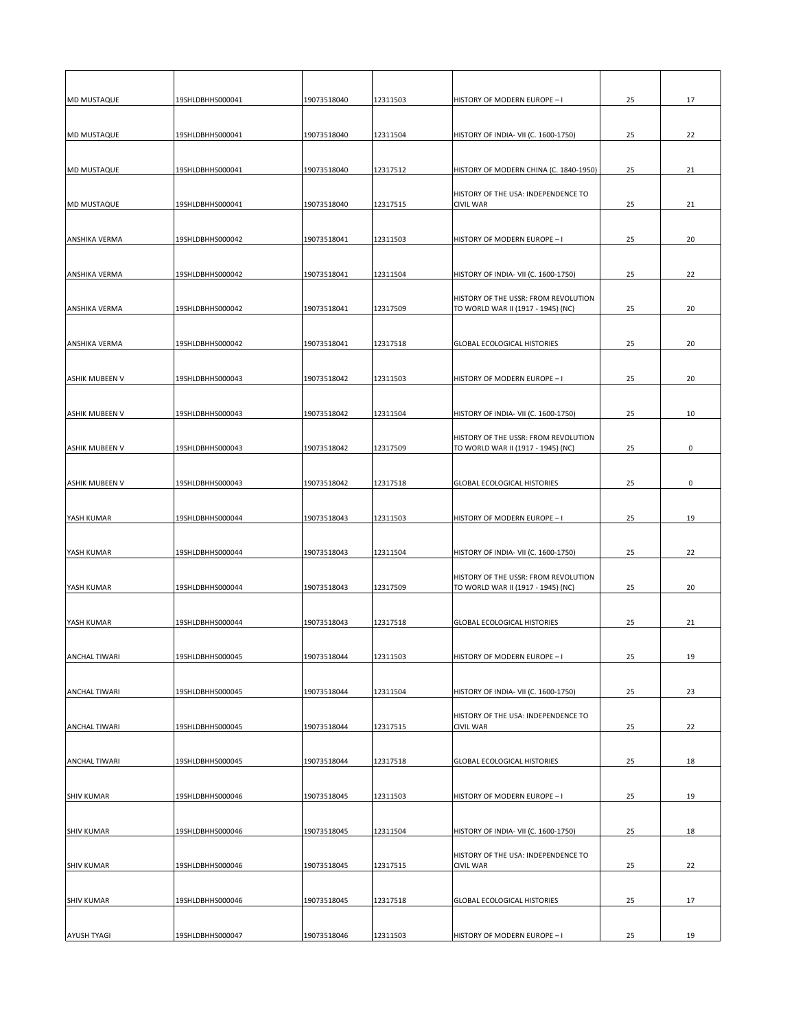| <b>MD MUSTAQUE</b>    | 19SHLDBHHS000041 | 19073518040 | 12311503 | HISTORY OF MODERN EUROPE - I                                               | 25 | 17 |
|-----------------------|------------------|-------------|----------|----------------------------------------------------------------------------|----|----|
| <b>MD MUSTAQUE</b>    | 19SHLDBHHS000041 | 19073518040 | 12311504 | HISTORY OF INDIA- VII (C. 1600-1750)                                       | 25 | 22 |
|                       |                  |             |          |                                                                            |    |    |
| <b>MD MUSTAQUE</b>    | 19SHLDBHHS000041 | 19073518040 | 12317512 | HISTORY OF MODERN CHINA (C. 1840-1950)                                     | 25 | 21 |
| <b>MD MUSTAQUE</b>    | 19SHLDBHHS000041 | 19073518040 | 12317515 | HISTORY OF THE USA: INDEPENDENCE TO<br><b>CIVIL WAR</b>                    | 25 | 21 |
|                       |                  |             |          |                                                                            |    |    |
| <b>ANSHIKA VERMA</b>  | 19SHLDBHHS000042 | 19073518041 | 12311503 | HISTORY OF MODERN EUROPE - I                                               | 25 | 20 |
| <b>ANSHIKA VERMA</b>  | 19SHLDBHHS000042 | 19073518041 | 12311504 | HISTORY OF INDIA- VII (C. 1600-1750)                                       | 25 | 22 |
|                       |                  |             |          | HISTORY OF THE USSR: FROM REVOLUTION                                       |    |    |
| <b>ANSHIKA VERMA</b>  | 19SHLDBHHS000042 | 19073518041 | 12317509 | TO WORLD WAR II (1917 - 1945) (NC)                                         | 25 | 20 |
|                       |                  |             |          |                                                                            |    |    |
| <b>ANSHIKA VERMA</b>  | 19SHLDBHHS000042 | 19073518041 | 12317518 | <b>GLOBAL ECOLOGICAL HISTORIES</b>                                         | 25 | 20 |
| <b>ASHIK MUBEEN V</b> | 19SHLDBHHS000043 | 19073518042 | 12311503 | HISTORY OF MODERN EUROPE - I                                               | 25 | 20 |
|                       |                  |             |          |                                                                            |    |    |
| <b>ASHIK MUBEEN V</b> | 19SHLDBHHS000043 | 19073518042 | 12311504 | HISTORY OF INDIA- VII (C. 1600-1750)                                       | 25 | 10 |
| <b>ASHIK MUBEEN V</b> | 19SHLDBHHS000043 | 19073518042 | 12317509 | HISTORY OF THE USSR: FROM REVOLUTION<br>TO WORLD WAR II (1917 - 1945) (NC) | 25 | 0  |
|                       |                  |             |          |                                                                            |    |    |
| <b>ASHIK MUBEEN V</b> | 19SHLDBHHS000043 | 19073518042 | 12317518 | <b>GLOBAL ECOLOGICAL HISTORIES</b>                                         | 25 | 0  |
|                       |                  |             |          |                                                                            |    |    |
| YASH KUMAR            | 19SHLDBHHS000044 | 19073518043 | 12311503 | HISTORY OF MODERN EUROPE - I                                               | 25 | 19 |
| YASH KUMAR            | 19SHLDBHHS000044 | 19073518043 | 12311504 | HISTORY OF INDIA- VII (C. 1600-1750)                                       | 25 | 22 |
|                       |                  |             |          | HISTORY OF THE USSR: FROM REVOLUTION                                       |    |    |
| YASH KUMAR            | 19SHLDBHHS000044 | 19073518043 | 12317509 | TO WORLD WAR II (1917 - 1945) (NC)                                         | 25 | 20 |
| YASH KUMAR            | 19SHLDBHHS000044 | 19073518043 | 12317518 | <b>GLOBAL ECOLOGICAL HISTORIES</b>                                         | 25 | 21 |
|                       |                  |             |          |                                                                            |    |    |
| <b>ANCHAL TIWARI</b>  | 19SHLDBHHS000045 | 19073518044 | 12311503 | HISTORY OF MODERN EUROPE - I                                               | 25 | 19 |
|                       |                  |             |          |                                                                            |    |    |
| <b>ANCHAL TIWARI</b>  | 19SHLDBHHS000045 | 19073518044 | 12311504 | HISTORY OF INDIA- VII (C. 1600-1750)                                       | 25 | 23 |
| <b>ANCHAL TIWARI</b>  | 19SHLDBHHS000045 | 19073518044 | 12317515 | HISTORY OF THE USA: INDEPENDENCE TO<br><b>CIVIL WAR</b>                    | 25 | 22 |
|                       |                  |             |          |                                                                            |    |    |
| <b>ANCHAL TIWARI</b>  | 19SHLDBHHS000045 | 19073518044 | 12317518 | <b>GLOBAL ECOLOGICAL HISTORIES</b>                                         | 25 | 18 |
| <b>SHIV KUMAR</b>     | 19SHLDBHHS000046 | 19073518045 | 12311503 | HISTORY OF MODERN EUROPE - I                                               | 25 | 19 |
|                       |                  |             |          |                                                                            |    |    |
| <b>SHIV KUMAR</b>     | 19SHLDBHHS000046 | 19073518045 | 12311504 | HISTORY OF INDIA- VII (C. 1600-1750)                                       | 25 | 18 |
| <b>SHIV KUMAR</b>     | 19SHLDBHHS000046 | 19073518045 | 12317515 | HISTORY OF THE USA: INDEPENDENCE TO<br><b>CIVIL WAR</b>                    | 25 | 22 |
|                       |                  |             |          |                                                                            |    |    |
| <b>SHIV KUMAR</b>     | 19SHLDBHHS000046 | 19073518045 | 12317518 | <b>GLOBAL ECOLOGICAL HISTORIES</b>                                         | 25 | 17 |
| <b>AYUSH TYAGI</b>    | 19SHLDBHHS000047 | 19073518046 | 12311503 | HISTORY OF MODERN EUROPE - I                                               | 25 | 19 |
|                       |                  |             |          |                                                                            |    |    |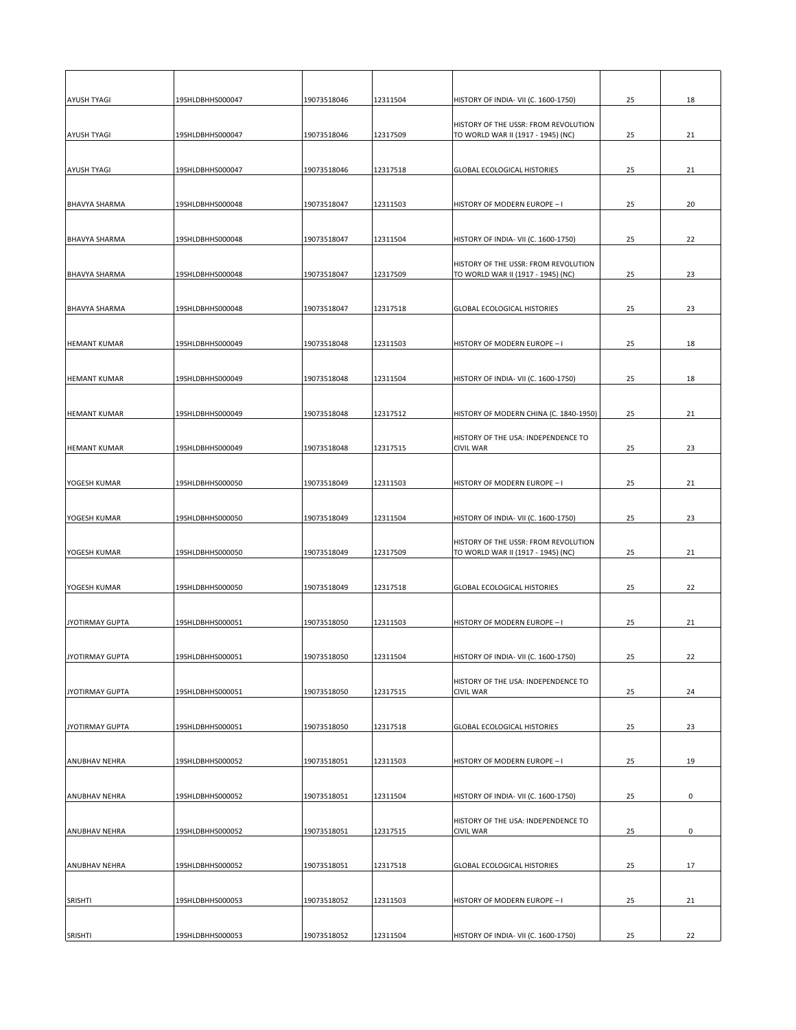| <b>AYUSH TYAGI</b>     | 19SHLDBHHS000047 | 19073518046 | 12311504 | HISTORY OF INDIA- VII (C. 1600-1750)                                       | 25 | 18 |
|------------------------|------------------|-------------|----------|----------------------------------------------------------------------------|----|----|
| <b>AYUSH TYAGI</b>     | 19SHLDBHHS000047 | 19073518046 | 12317509 | HISTORY OF THE USSR: FROM REVOLUTION<br>TO WORLD WAR II (1917 - 1945) (NC) | 25 | 21 |
|                        |                  |             |          |                                                                            |    |    |
| <b>AYUSH TYAGI</b>     | 19SHLDBHHS000047 | 19073518046 | 12317518 | <b>GLOBAL ECOLOGICAL HISTORIES</b>                                         | 25 | 21 |
|                        |                  |             |          |                                                                            |    |    |
| <b>BHAVYA SHARMA</b>   | 19SHLDBHHS000048 | 19073518047 | 12311503 | HISTORY OF MODERN EUROPE - I                                               | 25 | 20 |
|                        |                  |             |          |                                                                            |    |    |
| <b>BHAVYA SHARMA</b>   | 19SHLDBHHS000048 | 19073518047 | 12311504 | HISTORY OF INDIA- VII (C. 1600-1750)                                       | 25 | 22 |
|                        |                  |             |          | HISTORY OF THE USSR: FROM REVOLUTION                                       |    |    |
| <b>BHAVYA SHARMA</b>   | 19SHLDBHHS000048 | 19073518047 | 12317509 | TO WORLD WAR II (1917 - 1945) (NC)                                         | 25 | 23 |
|                        |                  |             |          |                                                                            |    |    |
| <b>BHAVYA SHARMA</b>   | 19SHLDBHHS000048 | 19073518047 | 12317518 | <b>GLOBAL ECOLOGICAL HISTORIES</b>                                         | 25 | 23 |
|                        |                  |             |          |                                                                            |    |    |
| <b>HEMANT KUMAR</b>    | 19SHLDBHHS000049 | 19073518048 | 12311503 | HISTORY OF MODERN EUROPE - I                                               | 25 | 18 |
|                        |                  |             |          |                                                                            |    |    |
| <b>HEMANT KUMAR</b>    | 19SHLDBHHS000049 | 19073518048 | 12311504 | HISTORY OF INDIA- VII (C. 1600-1750)                                       | 25 | 18 |
|                        |                  |             |          |                                                                            |    |    |
| <b>HEMANT KUMAR</b>    | 19SHLDBHHS000049 | 19073518048 | 12317512 | HISTORY OF MODERN CHINA (C. 1840-1950)                                     | 25 | 21 |
|                        |                  |             |          | HISTORY OF THE USA: INDEPENDENCE TO                                        |    |    |
| <b>HEMANT KUMAR</b>    | 19SHLDBHHS000049 | 19073518048 | 12317515 | <b>CIVIL WAR</b>                                                           | 25 | 23 |
|                        |                  |             |          |                                                                            |    |    |
| YOGESH KUMAR           | 19SHLDBHHS000050 | 19073518049 | 12311503 | HISTORY OF MODERN EUROPE - I                                               | 25 | 21 |
|                        |                  |             |          |                                                                            |    |    |
| YOGESH KUMAR           | 19SHLDBHHS000050 | 19073518049 | 12311504 | HISTORY OF INDIA- VII (C. 1600-1750)                                       | 25 | 23 |
|                        |                  |             |          | HISTORY OF THE USSR: FROM REVOLUTION                                       |    |    |
| YOGESH KUMAR           | 19SHLDBHHS000050 | 19073518049 | 12317509 | TO WORLD WAR II (1917 - 1945) (NC)                                         | 25 | 21 |
|                        |                  |             |          |                                                                            |    |    |
| YOGESH KUMAR           | 19SHLDBHHS000050 | 19073518049 | 12317518 | <b>GLOBAL ECOLOGICAL HISTORIES</b>                                         | 25 | 22 |
|                        |                  |             |          |                                                                            |    |    |
| JYOTIRMAY GUPTA        | 19SHLDBHHS000051 | 19073518050 | 12311503 | HISTORY OF MODERN EUROPE - I                                               | 25 | 21 |
|                        |                  |             |          |                                                                            |    |    |
| <b>JYOTIRMAY GUPTA</b> | 19SHLDBHHS000051 | 19073518050 | 12311504 | HISTORY OF INDIA- VII (C. 1600-1750)                                       | 25 | 22 |
|                        |                  |             |          | HISTORY OF THE USA: INDEPENDENCE TO                                        |    |    |
| JYOTIRMAY GUPTA        | 19SHLDBHHS000051 | 19073518050 | 12317515 | <b>CIVIL WAR</b>                                                           | 25 | 24 |
|                        |                  |             |          |                                                                            |    |    |
| JYOTIRMAY GUPTA        | 19SHLDBHHS000051 | 19073518050 | 12317518 | <b>GLOBAL ECOLOGICAL HISTORIES</b>                                         | 25 | 23 |
|                        |                  |             |          |                                                                            |    |    |
| <b>ANUBHAV NEHRA</b>   | 19SHLDBHHS000052 | 19073518051 | 12311503 | HISTORY OF MODERN EUROPE - I                                               | 25 | 19 |
|                        |                  |             |          |                                                                            |    |    |
| <b>ANUBHAV NEHRA</b>   | 19SHLDBHHS000052 | 19073518051 | 12311504 | HISTORY OF INDIA- VII (C. 1600-1750)                                       | 25 | 0  |
|                        |                  |             |          | HISTORY OF THE USA: INDEPENDENCE TO                                        |    |    |
| <b>ANUBHAV NEHRA</b>   | 19SHLDBHHS000052 | 19073518051 | 12317515 | <b>CIVIL WAR</b>                                                           | 25 | 0  |
|                        |                  |             |          |                                                                            |    |    |
| <b>ANUBHAV NEHRA</b>   | 19SHLDBHHS000052 | 19073518051 | 12317518 | <b>GLOBAL ECOLOGICAL HISTORIES</b>                                         | 25 | 17 |
|                        |                  |             |          |                                                                            |    |    |
| SRISHTI                | 19SHLDBHHS000053 | 19073518052 | 12311503 | HISTORY OF MODERN EUROPE - I                                               | 25 | 21 |
|                        |                  |             |          |                                                                            |    |    |
| <b>SRISHTI</b>         | 19SHLDBHHS000053 | 19073518052 | 12311504 | HISTORY OF INDIA- VII (C. 1600-1750)                                       | 25 | 22 |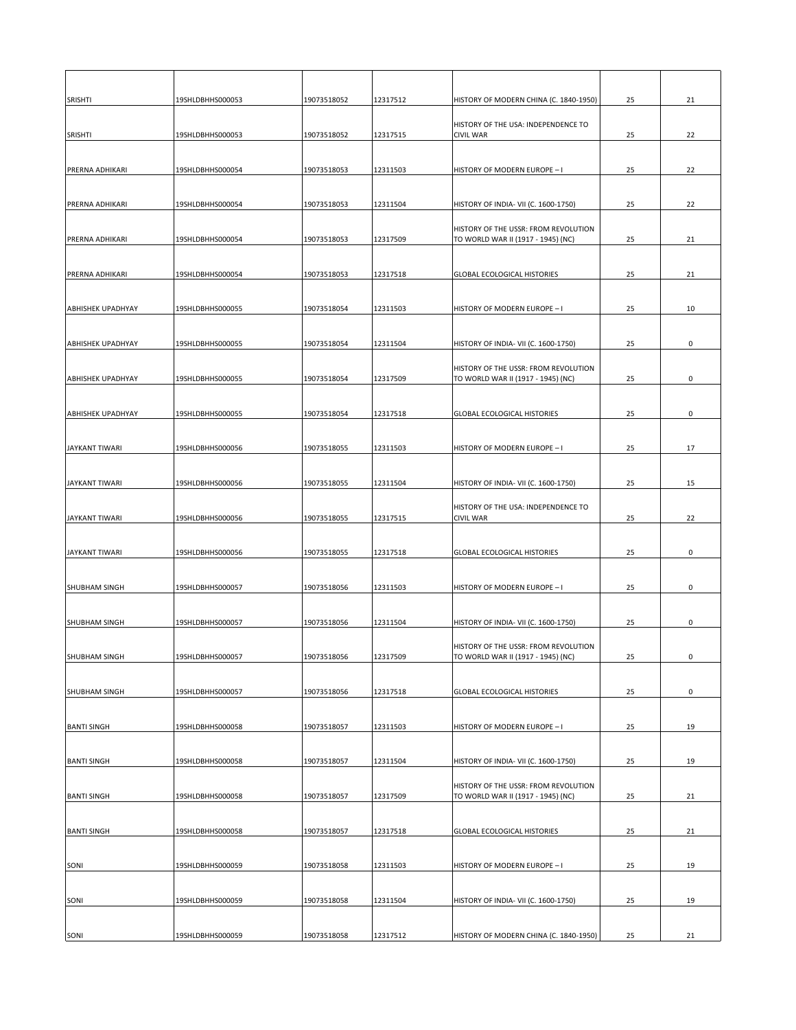| <b>SRISHTI</b>           | 19SHLDBHHS000053 | 19073518052 | 12317512 | HISTORY OF MODERN CHINA (C. 1840-1950)                                     | 25 | 21           |
|--------------------------|------------------|-------------|----------|----------------------------------------------------------------------------|----|--------------|
| <b>SRISHTI</b>           | 19SHLDBHHS000053 | 19073518052 | 12317515 | HISTORY OF THE USA: INDEPENDENCE TO<br><b>CIVIL WAR</b>                    | 25 | 22           |
|                          |                  |             |          |                                                                            |    |              |
| <b>PRERNA ADHIKARI</b>   | 19SHLDBHHS000054 | 19073518053 | 12311503 | HISTORY OF MODERN EUROPE - I                                               | 25 | 22           |
|                          |                  |             |          |                                                                            |    |              |
| <b>PRERNA ADHIKARI</b>   | 19SHLDBHHS000054 | 19073518053 | 12311504 | HISTORY OF INDIA- VII (C. 1600-1750)                                       | 25 | 22           |
| <b>PRERNA ADHIKARI</b>   | 19SHLDBHHS000054 | 19073518053 | 12317509 | HISTORY OF THE USSR: FROM REVOLUTION<br>TO WORLD WAR II (1917 - 1945) (NC) | 25 | 21           |
|                          |                  |             |          |                                                                            |    |              |
| <b>PRERNA ADHIKARI</b>   | 19SHLDBHHS000054 | 19073518053 | 12317518 | <b>GLOBAL ECOLOGICAL HISTORIES</b>                                         | 25 | 21           |
|                          |                  |             |          |                                                                            |    |              |
| <b>ABHISHEK UPADHYAY</b> | 19SHLDBHHS000055 | 19073518054 | 12311503 | HISTORY OF MODERN EUROPE - I                                               | 25 | 10           |
|                          |                  |             |          |                                                                            |    |              |
| <b>ABHISHEK UPADHYAY</b> | 19SHLDBHHS000055 | 19073518054 | 12311504 | HISTORY OF INDIA- VII (C. 1600-1750)                                       | 25 | 0            |
| <b>ABHISHEK UPADHYAY</b> | 19SHLDBHHS000055 | 19073518054 | 12317509 | HISTORY OF THE USSR: FROM REVOLUTION<br>TO WORLD WAR II (1917 - 1945) (NC) | 25 | 0            |
|                          |                  |             |          |                                                                            |    |              |
| <b>ABHISHEK UPADHYAY</b> | 19SHLDBHHS000055 | 19073518054 | 12317518 | <b>GLOBAL ECOLOGICAL HISTORIES</b>                                         | 25 | $\mathsf{O}$ |
|                          |                  |             |          |                                                                            |    |              |
| JAYKANT TIWARI           | 19SHLDBHHS000056 | 19073518055 | 12311503 | HISTORY OF MODERN EUROPE - I                                               | 25 | 17           |
|                          |                  |             |          |                                                                            |    |              |
| JAYKANT TIWARI           | 19SHLDBHHS000056 | 19073518055 | 12311504 | HISTORY OF INDIA- VII (C. 1600-1750)                                       | 25 | 15           |
| JAYKANT TIWARI           | 19SHLDBHHS000056 | 19073518055 | 12317515 | HISTORY OF THE USA: INDEPENDENCE TO<br><b>CIVIL WAR</b>                    | 25 | 22           |
|                          |                  |             |          |                                                                            |    |              |
| JAYKANT TIWARI           | 19SHLDBHHS000056 | 19073518055 | 12317518 | <b>GLOBAL ECOLOGICAL HISTORIES</b>                                         | 25 | 0            |
|                          |                  |             |          |                                                                            |    |              |
| <b>SHUBHAM SINGH</b>     | 19SHLDBHHS000057 | 19073518056 | 12311503 | HISTORY OF MODERN EUROPE - I                                               | 25 | 0            |
|                          |                  |             |          |                                                                            |    |              |
| <b>SHUBHAM SINGH</b>     | 19SHLDBHHS000057 | 19073518056 | 12311504 | HISTORY OF INDIA- VII (C. 1600-1750)                                       | 25 | 0            |
| <b>SHUBHAM SINGH</b>     | 19SHLDBHHS000057 | 19073518056 | 12317509 | HISTORY OF THE USSR: FROM REVOLUTION<br>TO WORLD WAR II (1917 - 1945) (NC) | 25 | 0            |
|                          |                  |             |          |                                                                            |    |              |
| <b>SHUBHAM SINGH</b>     | 19SHLDBHHS000057 | 19073518056 | 12317518 | <b>GLOBAL ECOLOGICAL HISTORIES</b>                                         | 25 | 0            |
|                          |                  |             |          |                                                                            |    |              |
| <b>BANTI SINGH</b>       | 19SHLDBHHS000058 | 19073518057 | 12311503 | HISTORY OF MODERN EUROPE - I                                               | 25 | 19           |
| <b>BANTI SINGH</b>       | 19SHLDBHHS000058 | 19073518057 | 12311504 | HISTORY OF INDIA- VII (C. 1600-1750)                                       | 25 | 19           |
|                          |                  |             |          |                                                                            |    |              |
| <b>BANTI SINGH</b>       | 19SHLDBHHS000058 | 19073518057 | 12317509 | HISTORY OF THE USSR: FROM REVOLUTION<br>TO WORLD WAR II (1917 - 1945) (NC) | 25 | 21           |
|                          |                  |             |          |                                                                            |    |              |
| <b>BANTI SINGH</b>       | 19SHLDBHHS000058 | 19073518057 | 12317518 | <b>GLOBAL ECOLOGICAL HISTORIES</b>                                         | 25 | 21           |
|                          |                  |             |          |                                                                            |    |              |
| SONI                     | 19SHLDBHHS000059 | 19073518058 | 12311503 | HISTORY OF MODERN EUROPE - I                                               | 25 | 19           |
| SONI                     | 19SHLDBHHS000059 | 19073518058 | 12311504 | HISTORY OF INDIA- VII (C. 1600-1750)                                       | 25 | 19           |
|                          |                  |             |          |                                                                            |    |              |
| SONI                     | 19SHLDBHHS000059 | 19073518058 | 12317512 | HISTORY OF MODERN CHINA (C. 1840-1950)                                     | 25 | 21           |